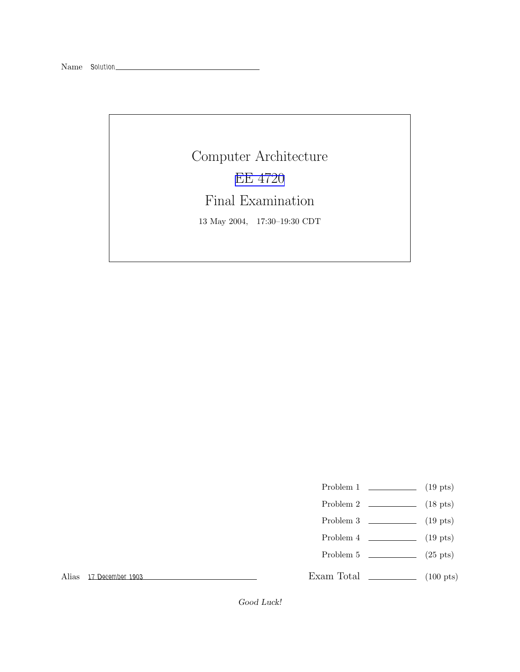Computer Architecture EE [4720](http://www.ece.lsu.edu/ee4720/) Final Examination 13 May 2004, 17:30–19:30 CDT

- Problem 1  $\qquad \qquad$  (19 pts)
- Problem 2  $\qquad \qquad$  (18 pts)
- Problem 3  $\qquad \qquad (19 \text{ pts})$
- Problem 4  $\qquad \qquad$  (19 pts)
- Problem 5 (25 pts)

Exam Total \_\_\_\_\_\_\_\_\_\_\_\_\_ (100 pts)

Alias 17 December 1903

Good Luck!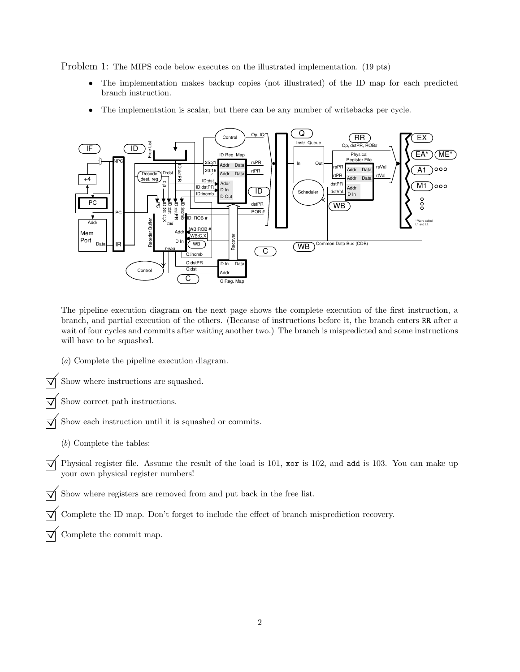Problem 1: The MIPS code below executes on the illustrated implementation. (19 pts)

- The implementation makes backup copies (not illustrated) of the ID map for each predicted branch instruction.
- The implementation is scalar, but there can be any number of writebacks per cycle.



The pipeline execution diagram on the next page shows the complete execution of the first instruction, a branch, and partial execution of the others. (Because of instructions before it, the branch enters RR after a wait of four cycles and commits after waiting another two.) The branch is mispredicted and some instructions will have to be squashed.

(a) Complete the pipeline execution diagram.

 $\overrightarrow{\bigvee}$  Show where instructions are squashed.

- $\sqrt{\phantom{a}}$  Show correct path instructions.
- $\overrightarrow{\bigvee}$  Show each instruction until it is squashed or commits.
	- (b) Complete the tables:
- $\sqrt{\phantom{a}}$  Physical register file. Assume the result of the load is 101, xor is 102, and add is 103. You can make up your own physical register numbers!
- $\triangledown$  Show where registers are removed from and put back in the free list.
- ©Complete the ID map. Don't forget to include the effect of branch misprediction recovery.
- ©Complete the commit map.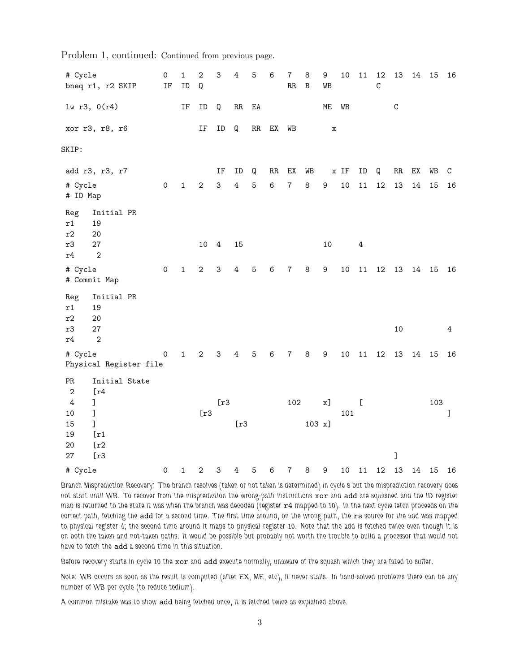# Cycle 0 1 2 3 4 5 6 7 8 9 10 11 12 13 14 15 16 bneq r1, r2 SKIP IF ID Q RR B WB C lw r3, 0(r4) IF ID Q RR EA ME WB C xor r3, r8, r6 IF ID Q RR EX WB x SKIP: add r3, r3, r7 IF ID Q RR EX WB x IF ID Q RR EX WB C # Cycle 0 1 2 3 4 5 6 7 8 9 10 11 12 13 14 15 16 # ID Map Reg Initial PR r1 19 r2 20 r3 27 10 4 15 10 4 r4 2 # Cycle 0 1 2 3 4 5 6 7 8 9 10 11 12 13 14 15 16 # Commit Map Reg Initial PR r1 19 r2 20 r3 27 10 4 r4 2 # Cycle 0 1 2 3 4 5 6 7 8 9 10 11 12 13 14 15 16 Physical Register file PR Initial State 2 [r4 4 ] [r3 102 x] [ 103 10 ] [r3 101 ] 15 ] [r3 103 x] 19 [r1 20 [r2 27 [r3 ] # Cycle 0 1 2 3 4 5 6 7 8 9 10 11 12 13 14 15 16

Problem 1, continued: Continued from previous page.

Branch Misprediction Recovery: The branch resolves (taken or not taken is determined) in cycle 8 but the misprediction recovery does not start until WB. To recover from the misprediction the wrong-path instructions xor and add are squashed and the ID register map is returned to the state it was when the branch was decoded (register  $r4$  mapped to 10). In the next cycle fetch proceeds on the correct path, fetching the add for a second time. The first time around, on the wrong path, the rs source for the add was mapped to physical register 4; the second time around it maps to physical register 10. Note that the add is fetched twice even though it is on both the taken and not-taken paths. It would be possible but probably not worth the trouble to build a processor that would not have to fetch the add a second time in this situation.

Before recovery starts in cycle 10 the xor and add execute normally, unaware of the squash which they are fated to suffer.

Note: WB occurs as soon as the result is computed (after EX, ME, etc), it never stalls. In hand-solved problems there can be any number of WB per cycle (to reduce tedium).

A common mistake was to show add being fetched once, it is fetched twice as explained above.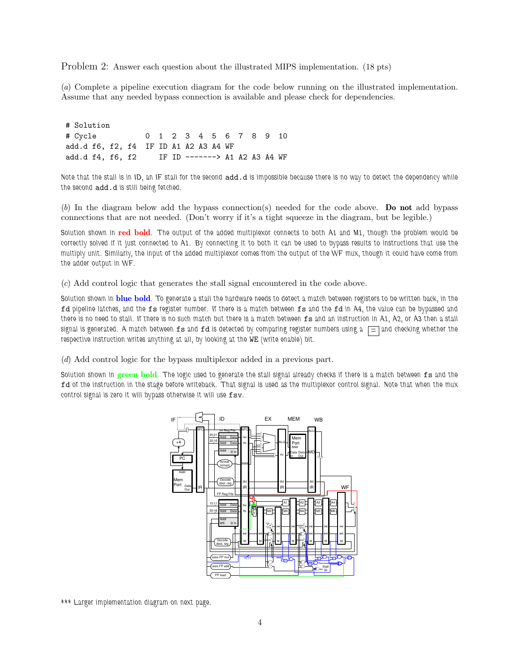Problem 2: Answer each question about the illustrated MIPS implementation. (18 pts)

(a) Complete a pipeline execution diagram for the code below running on the illustrated implementation. Assume that any needed bypass connection is available and please check for dependencies.

# Solution # Cycle 0 1 2 3 4 5 6 7 8 9 10 add.d f6, f2, f4 IF ID A1 A2 A3 A4 WF add.d f4, f6, f2 IF ID -------> A1 A2 A3 A4 WF

Note that the stall is in ID, an IF stall for the second  $add.d$  is impossible because there is no way to detect the dependency while the second add.d is still being fetched.

(b) In the diagram below add the bypass connection(s) needed for the code above. Do not add bypass connections that are not needed. (Don't worry if it's a tight squeeze in the diagram, but be legible.)

Solution shown in red bold. The output of the added multiplexor connects to both A1 and M1, though the problem would be correctly solved if it just connected to A1. By connecting it to both it can be used to bypass results to instructions that use the multiply unit. Similarly, the input of the added multiplexor comes from the output of the WF mux, though it could have come from the adder output in WF.

(c) Add control logic that generates the stall signal encountered in the code above.

Solution shown in blue bold. To generate a stall the hardware needs to detect a match between registers to be written back, in the fd pipeline latches, and the fs register number. If there is a match between fs and the fd in A4, the value can be bypassed and there is no need to stall. If there is no such match but there is a match between fs and an instruction in A1, A2, or A3 then a stall signal is generated. A match between fs and fd is detected by comparing register numbers using a  $\equiv$  and checking whether the respective instruction writes anything at all, by looking at the WE (write enable) bit.

(d) Add control logic for the bypass multiplexor added in a previous part.

Solution shown in green bold. The logic used to generate the stall signal already checks if there is a match between fs and the fd of the instruction in the stage before writeback. That signal is used as the multiplexor control signal. Note that when the mux control signal is zero it will bypass otherwise it will use fsv.



\*\*\* Larger implementation diagram on next page.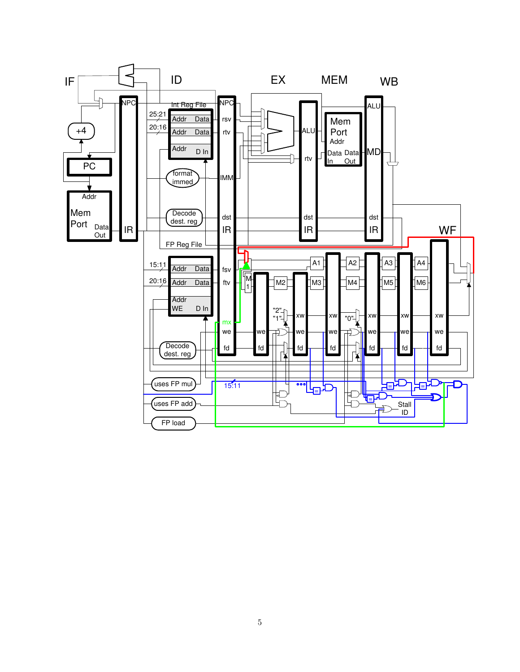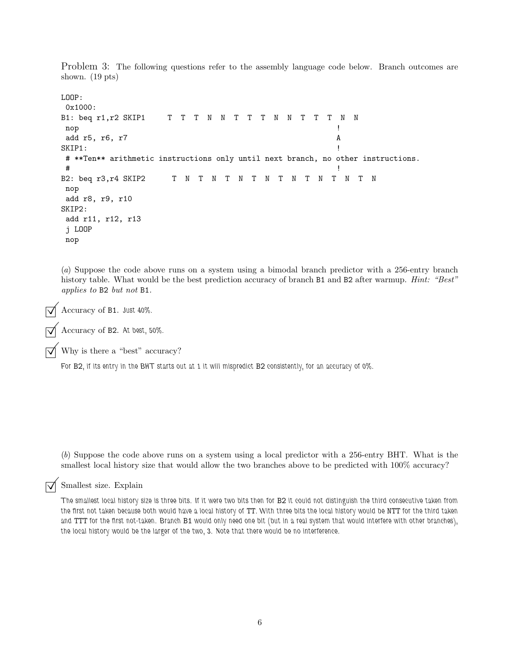Problem 3: The following questions refer to the assembly language code below. Branch outcomes are shown. (19 pts)

```
LOOP:
0x1000:
B1: beq r1,r2 SKIP1 T T T N N T T T N N T T T N N
 nop the state of the state of the state of the state of the state of the state of the state of the state of th
add r5, r6, r7 A
SKIP1:# **Ten** arithmetic instructions only until next branch, no other instructions.
 \# . The contract of the contract of the contract of the contract of the contract of the contract of the contract of the contract of the contract of the contract of the contract of the contract of the contract of the co
B2: beq r3,r4 SKIP2 T N T N T N T N T N T N T N T N
nop
add r8, r9, r10
SKIP2:
 add r11, r12, r13
 j LOOP
nop
```
(a) Suppose the code above runs on a system using a bimodal branch predictor with a 256-entry branch history table. What would be the best prediction accuracy of branch B1 and B2 after warmup. Hint: "Best" applies to B2 but not B1.

© Accuracy of B1. Just 40%.

 $\vec{\mathcal{A}}$  Accuracy of B2. At best, 50%.

Why is there a "best" accuracy?

For B2, if its entry in the BHT starts out at 1 it will mispredict B2 consistently, for an accuracy of 0%.

(b) Suppose the code above runs on a system using a local predictor with a 256-entry BHT. What is the smallest local history size that would allow the two branches above to be predicted with 100% accuracy?

#### Smallest size. Explain

The smallest local history size is three bits. If it were two bits then for B2 it could not distinguish the third consecutive taken from the first not taken because both would have a local history of TT. With three bits the local history would be NTT for the third taken and TTT for the first not-taken. Branch B1 would only need one bit (but in a real system that would interfere with other branches), the local history would be the larger of the two, 3. Note that there would be no interference.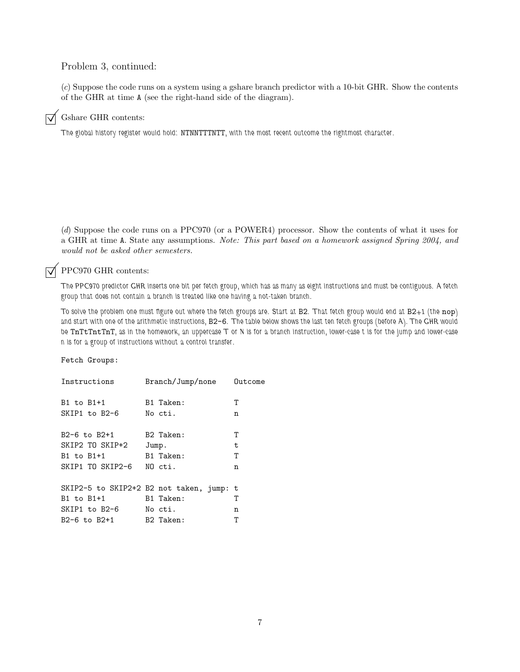## Problem 3, continued:

(c) Suppose the code runs on a system using a gshare branch predictor with a 10-bit GHR. Show the contents of the GHR at time A (see the right-hand side of the diagram).

## $\sqrt{\phantom{a}}$  Gshare GHR contents:

The global history register would hold: NTNNTTTNTT, with the most recent outcome the rightmost character.

(d) Suppose the code runs on a PPC970 (or a POWER4) processor. Show the contents of what it uses for a GHR at time A. State any assumptions. Note: This part based on a homework assigned Spring 2004, and would not be asked other semesters.

# $\sqrt{\phantom{a}}$  PPC970 GHR contents:

The PPC970 predictor GHR inserts one bit per fetch group, which has as many as eight instructions and must be contiguous. A fetch group that does not contain a branch is treated like one having a not-taken branch.

To solve the problem one must figure out where the fetch groups are. Start at B2. That fetch group would end at  $B2+1$  (the  $\mathtt{nop}$ ) and start with one of the arithmetic instructions, B2-6. The table below shows the last ten fetch groups (before A). The GHR would be TnTtTntTnT, as in the homework, an uppercase T or N is for a branch instruction, lower-case t is for the jump and lower-case n is for a group of instructions without a control transfer.

#### Fetch Groups:

| Instructions               | Branch/Jump/none Outcome                 |   |
|----------------------------|------------------------------------------|---|
| B1 to B1+1                 | B1 Taken:                                | Т |
| SKIP1 to B2-6              | No cti.                                  | n |
| B2-6 to B2+1               | B2 Taken:                                | т |
| SKIP2 TO SKIP+2            | Jump.                                    | t |
| $B1$ to $B1+1$             | B1 Taken:                                | T |
| SKIP1 TO SKIP2-6 NO cti.   |                                          | n |
|                            | SKIP2-5 to SKIP2+2 B2 not taken, jump: t |   |
| B1 to B1+1 B1 Taken:       |                                          | Т |
| SKIP1 to B2-6 No cti.      |                                          | n |
| $B2-6$ to $B2+1$ B2 Taken: |                                          | Т |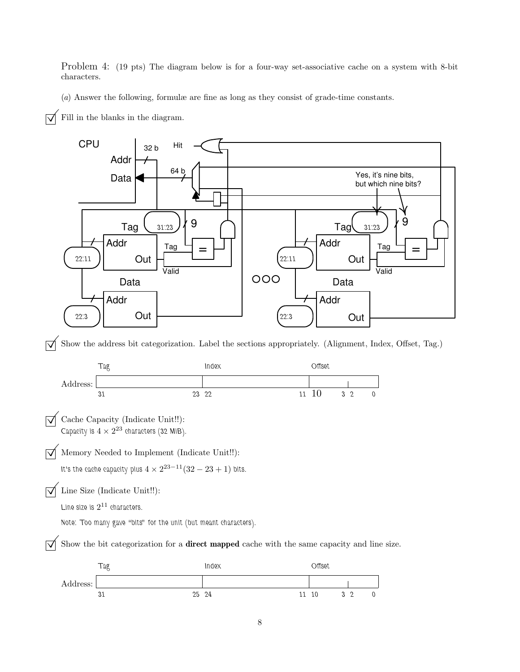Problem 4: (19 pts) The diagram below is for a four-way set-associative cache on a system with 8-bit characters.

(a) Answer the following, formulæ are fine as long as they consist of grade-time constants.

 $\sqrt{\phantom{a}}$  Fill in the blanks in the diagram.

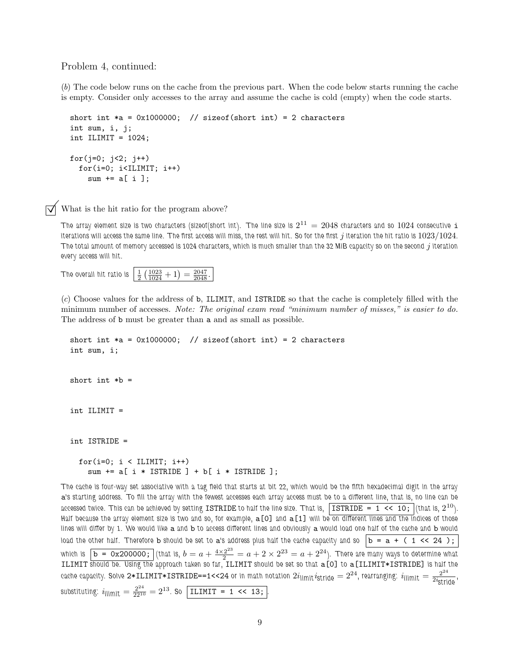Problem 4, continued:

(b) The code below runs on the cache from the previous part. When the code below starts running the cache is empty. Consider only accesses to the array and assume the cache is cold (empty) when the code starts.

```
short int *a = 0x1000000; // sizeof(short int) = 2 characters
int sum, i, j;
int ILIMIT = 1024;
for(j=0; j < 2; j++)for(i=0; i<ILIMIT; i++)
    sum += a[i];
```
What is the hit ratio for the program above?

The array element size is two characters (sizeof(short int). The line size is  $2^{11}=2048$  characters and so  $1024$  consecutive  $\mathtt{i}$ iterations will access the same line. The first access will miss, the rest will hit. So for the first j iteration the hit ratio is  $1023/1024$ . The total amount of memory accessed is 1024 characters, which is much smaller than the 32 MiB capacity so on the second  $j$  iteration every access will hit.

The overall hit ratio is 2  $\left($  $\frac{1023}{1024}+1)=$ 2047  $\frac{2047}{2048}$  .

(c) Choose values for the address of b, ILIMIT, and ISTRIDE so that the cache is completely filled with the minimum number of accesses. Note: The original exam read "minimum number of misses," is easier to do. The address of b must be greater than a and as small as possible.

```
short int *a = 0x1000000; // sizeof(short int) = 2 characters
int sum, i;
short int *b =int ILIMIT =
int ISTRIDE =
 for(i=0; i < ILIMIT; i++)sum += a[ i * ISTRIDE ] + b[ i * ISTRIDE ];
```
The cache is four-way set associative with a tag field that starts at bit 22, which would be the fifth hexadecimal digit in the array a's starting address. To fill the array with the fewest accesses each array access must be to a different line, that is, no line can be accessed twice. This can be achieved by setting ISTRIDE to half the line size. That is,  $\boxed{\text{ISTRIDE} = 1\text{ << }10\text{; (that is, }2^{10})}.$ Half because the array element size is two and so, for example,  $a[0]$  and  $a[1]$  will be on different lines and the indices of those lines will differ by 1. We would like a and b to access different lines and obviously a would load one half of the cache and b would load the other half. Therefore **b** should be set to a's address plus half the cache capacity and so  $\mathbf{b} = \mathbf{a} + (1 \ll 24)$ ; which is  $\boxed{\mathbf{b} = \mathbf{0x}200000;}$  (that is,  $b = a + \frac{4 \times 2^{23}}{2} = a + 2 \times 2^{23} = a + 2^{24}$ ). There are many ways to determine what <code>ILIMIT</code> should be. Using the approach taken so far, <code>ILIMIT</code> should be set so that <code>a[0]</code> to <code>a[ILIMIT\*ISTRIDE]</code> is half the cache capacity. Solve  $2*ILIMIT*ISTRIDE==1<<24$  or in math notation  $2i_{\text{limit}}i_{\text{stride}}=2^{24}$ , rearranging:  $i_{\text{limit}}=\frac{2^{24}}{2i_{\text{strile}}}$  $^{2i}$ stride , substituting:  $i_{\text{llimit}} = \frac{2^{24}}{22^{10}} = 2^{13}$ . So **ILIMIT = 1 << 13;**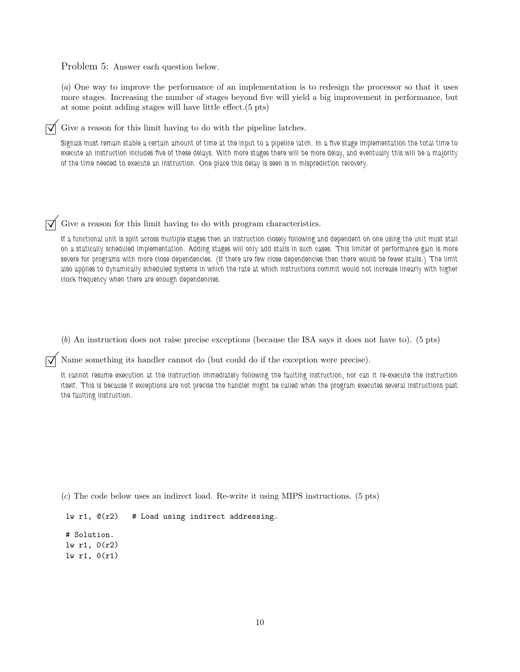Problem 5: Answer each question below.

(a) One way to improve the performance of an implementation is to redesign the processor so that it uses more stages. Increasing the number of stages beyond five will yield a big improvement in performance, but at some point adding stages will have little effect.(5 pts)

 $\overrightarrow{\mathsf{q}}$  Give a reason for this limit having to do with the pipeline latches.

Signals must remain stable a certain amount of time at the input to a pipeline latch. In a five stage implementation the total time to execute an instruction includes five of these delays. With more stages there will be more delay, and eventually this will be a majority of the time needed to execute an instruction. One place this delay is seen is in misprediction recovery.

Give a reason for this limit having to do with program characteristics.

If a functional unit is split across multiple stages then an instruction closely following and dependent on one using the unit must stall on a statically scheduled implementation. Adding stages will only add stalls in such cases. This limiter of performance gain is more severe for programs with more close dependencies. (If there are few close dependencies then there would be fewer stalls.) The limit also applies to dynamically scheduled systems in which the rate at which instructions commit would not increase linearly with higher clock frequency when there are enough dependencies.

(b) An instruction does not raise precise exceptions (because the ISA says it does not have to). (5 pts)

Name something its handler cannot do (but could do if the exception were precise).

It cannot resume execution at the instruction immediately following the faulting instruction, nor can it re-execute the instruction itself. This is because if exceptions are not precise the handler might be called when the program executes several instructions past the faulting instruction.

(c) The code below uses an indirect load. Re-write it using MIPS instructions. (5 pts)

lw r1,  $\mathbb{O}(r2)$  # Load using indirect addressing.

# Solution. lw r1, 0(r2) lw r1, 0(r1)